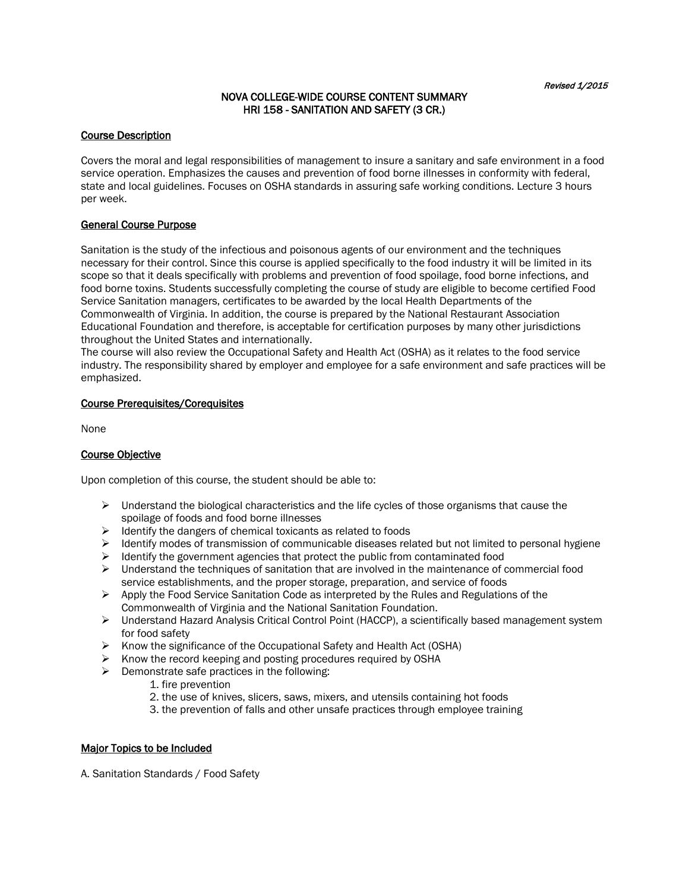# NOVA COLLEGE-WIDE COURSE CONTENT SUMMARY HRI 158 - SANITATION AND SAFETY (3 CR.)

### Course Description

Covers the moral and legal responsibilities of management to insure a sanitary and safe environment in a food service operation. Emphasizes the causes and prevention of food borne illnesses in conformity with federal, state and local guidelines. Focuses on OSHA standards in assuring safe working conditions. Lecture 3 hours per week.

## General Course Purpose

Sanitation is the study of the infectious and poisonous agents of our environment and the techniques necessary for their control. Since this course is applied specifically to the food industry it will be limited in its scope so that it deals specifically with problems and prevention of food spoilage, food borne infections, and food borne toxins. Students successfully completing the course of study are eligible to become certified Food Service Sanitation managers, certificates to be awarded by the local Health Departments of the Commonwealth of Virginia. In addition, the course is prepared by the National Restaurant Association Educational Foundation and therefore, is acceptable for certification purposes by many other jurisdictions throughout the United States and internationally.

The course will also review the Occupational Safety and Health Act (OSHA) as it relates to the food service industry. The responsibility shared by employer and employee for a safe environment and safe practices will be emphasized.

### Course Prerequisites/Corequisites

None

# Course Objective

Upon completion of this course, the student should be able to:

- $\triangleright$  Understand the biological characteristics and the life cycles of those organisms that cause the spoilage of foods and food borne illnesses
- $\triangleright$  Identify the dangers of chemical toxicants as related to foods
- $\triangleright$  Identify modes of transmission of communicable diseases related but not limited to personal hygiene
- $\triangleright$  Identify the government agencies that protect the public from contaminated food
- $\triangleright$  Understand the techniques of sanitation that are involved in the maintenance of commercial food service establishments, and the proper storage, preparation, and service of foods
- Apply the Food Service Sanitation Code as interpreted by the Rules and Regulations of the Commonwealth of Virginia and the National Sanitation Foundation.
- $\triangleright$  Understand Hazard Analysis Critical Control Point (HACCP), a scientifically based management system for food safety
- $\triangleright$  Know the significance of the Occupational Safety and Health Act (OSHA)
- $\triangleright$  Know the record keeping and posting procedures required by OSHA
- $\triangleright$  Demonstrate safe practices in the following:
	- 1. fire prevention
	- 2. the use of knives, slicers, saws, mixers, and utensils containing hot foods
	- 3. the prevention of falls and other unsafe practices through employee training

### Major Topics to be Included

A. Sanitation Standards / Food Safety